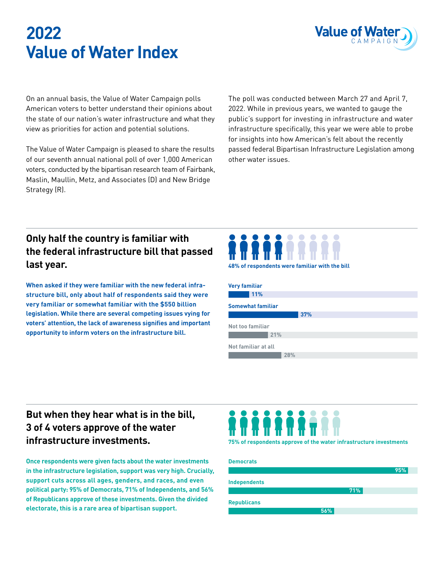# **2022 Value of Water Index**



On an annual basis, the Value of Water Campaign polls American voters to better understand their opinions about the state of our nation's water infrastructure and what they view as priorities for action and potential solutions.

The Value of Water Campaign is pleased to share the results of our seventh annual national poll of over 1,000 American voters, conducted by the bipartisan research team of Fairbank, Maslin, Maullin, Metz, and Associates (D) and New Bridge Strategy (R).

The poll was conducted between March 27 and April 7, 2022. While in previous years, we wanted to gauge the public's support for investing in infrastructure and water infrastructure specifically, this year we were able to probe for insights into how American's felt about the recently passed federal Bipartisan Infrastructure Legislation among other water issues.

## **Only half the country is familiar with the federal infrastructure bill that passed last year.**

**When asked if they were familiar with the new federal infrastructure bill, only about half of respondents said they were very familiar or somewhat familiar with the \$550 billion legislation. While there are several competing issues vying for voters' attention, the lack of awareness signifies and important opportunity to inform voters on the infrastructure bill.**



| 48% of respondents were familiar with the bill |  |  |  |
|------------------------------------------------|--|--|--|
|                                                |  |  |  |

| <b>Very familiar</b>     |     |     |  |  |
|--------------------------|-----|-----|--|--|
| 11%                      |     |     |  |  |
| <b>Somewhat familiar</b> |     |     |  |  |
|                          |     | 37% |  |  |
| Not too familiar         |     |     |  |  |
| 21%                      |     |     |  |  |
| Not familiar at all      |     |     |  |  |
|                          | 28% |     |  |  |

### **But when they hear what is in the bill, 3 of 4 voters approve of the water infrastructure investments.**

**Once respondents were given facts about the water investments in the infrastructure legislation, support was very high. Crucially, support cuts across all ages, genders, and races, and even political party: 95% of Democrats, 71% of Independents, and 56% of Republicans approve of these investments. Given the divided electorate, this is a rare area of bipartisan support.**



**75% of respondents approve of the water infrastructure investments**

| <b>Democrats</b>    |     |     |
|---------------------|-----|-----|
|                     |     | 95% |
| <b>Independents</b> |     |     |
|                     | 71% |     |
| <b>Republicans</b>  |     |     |
|                     | 56% |     |